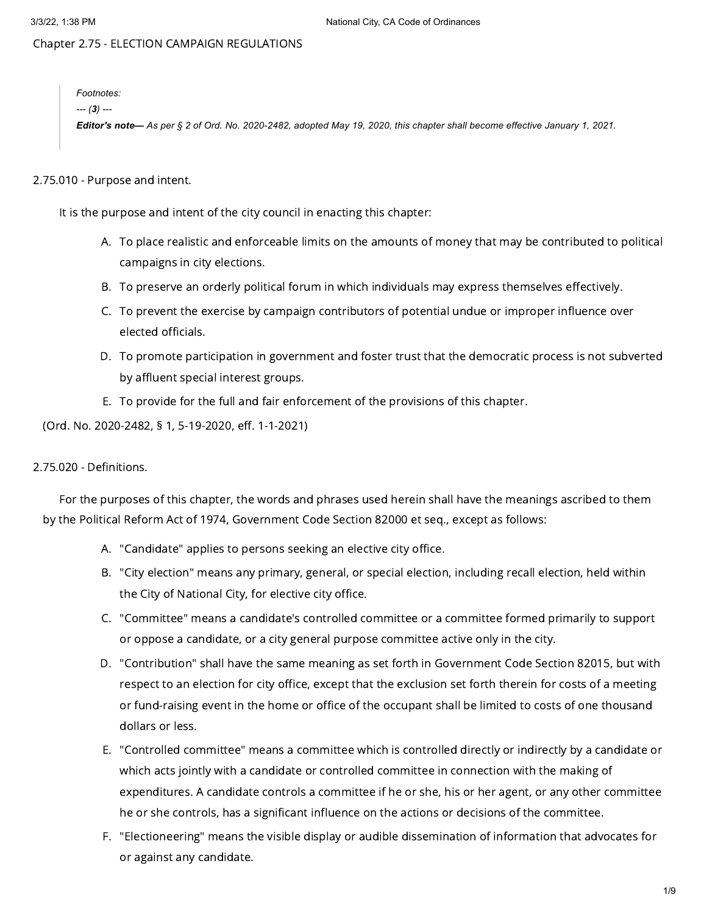# Chapter 2.75 - ELECTION CAMPAIGN REGULATIONS

*Footnotes: --- (3) ---*

Editor's note-As per § 2 of Ord. No. 2020-2482, adopted May 19, 2020, this chapter shall become effective January 1, 2021.

## 2.75.010 - Purpose and intent.

It is the purpose and intent of the city council in enacting this chapter:

- A. To place realistic and enforceable limits on the amounts of money that may be contributed to political campaigns in city elections.
- B. To preserve an orderly political forum in which individuals may express themselves effectively.
- C. To prevent the exercise by campaign contributors of potential undue or improper influence over elected officials.
- D. To promote participation in government and foster trust that the democratic process is not subverted by affluent special interest groups.
- E. To provide for the full and fair enforcement of the provisions of this chapter.

(Ord. No. 2020-2482, § 1, 5-19-2020, eff. 1-1-2021)

## 2.75.020 - Definitions.

For the purposes of this chapter, the words and phrases used herein shall have the meanings ascribed to them by the Political Reform Act of 1974, Government Code Section 82000 et seq., except as follows:

- A. "Candidate" applies to persons seeking an elective city office.
- B. "City election" means any primary, general, or special election, including recall election, held within the City of National City, for elective city office.
- C. "Committee" means a candidate's controlled committee or a committee formed primarily to support or oppose a candidate, or a city general purpose committee active only in the city.
- D. "Contribution" shall have the same meaning as set forth in Government Code Section 82015, but with respect to an election for city office, except that the exclusion set forth therein for costs of a meeting or fund-raising event in the home or office of the occupant shall be limited to costs of one thousand dollars or less.
- E. "Controlled committee" means a committee which is controlled directly or indirectly by a candidate or which acts jointly with a candidate or controlled committee in connection with the making of expenditures. A candidate controls a committee if he or she, his or her agent, or any other committee he or she controls, has a significant influence on the actions or decisions of the committee.
- F. "Electioneering" means the visible display or audible dissemination of information that advocates for or against any candidate.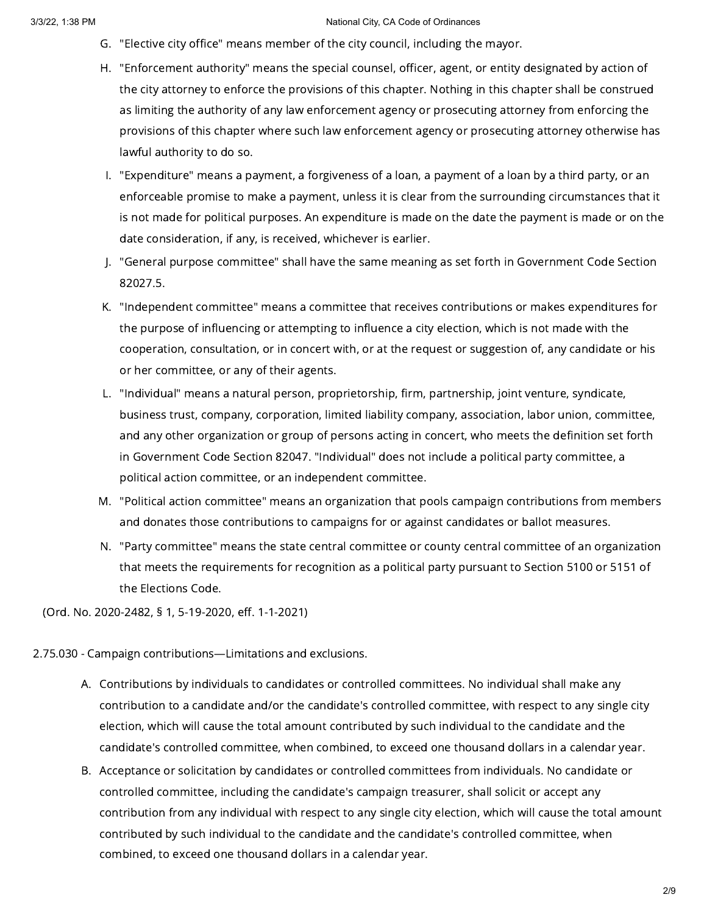- G. "Elective city office" means member of the city council, including the mayor.
- H. "Enforcement authority" means the special counsel, officer, agent, or entity designated by action of the city attorney to enforce the provisions of this chapter. Nothing in this chapter shall be construed as limiting the authority of any law enforcement agency or prosecuting attorney from enforcing the provisions of this chapter where such law enforcement agency or prosecuting attorney otherwise has lawful authority to do so.
- I. "Expenditure" means a payment, a forgiveness of a loan, a payment of a loan by a third party, or an enforceable promise to make a payment, unless it is clear from the surrounding circumstances that it is not made for political purposes. An expenditure is made on the date the payment is made or on the date consideration, if any, is received, whichever is earlier.
- J. "General purpose committee" shall have the same meaning as set forth in Government Code Section 82027.5.
- K. "Independent committee" means a committee that receives contributions or makes expenditures for the purpose of influencing or attempting to influence a city election, which is not made with the cooperation, consultation, or in concert with, or at the request or suggestion of, any candidate or his or her committee, or any of their agents.
- L. "Individual" means a natural person, proprietorship, firm, partnership, joint venture, syndicate, business trust, company, corporation, limited liability company, association, labor union, committee, and any other organization or group of persons acting in concert, who meets the definition set forth in Government Code Section 82047. "Individual" does not include a political party committee, a political action committee, or an independent committee.
- M. "Political action committee" means an organization that pools campaign contributions from members and donates those contributions to campaigns for or against candidates or ballot measures.
- N. "Party committee" means the state central committee or county central committee of an organization that meets the requirements for recognition as a political party pursuant to Section 5100 or 5151 of the Elections Code.

(Ord. No. 2020-2482, § 1, 5-19-2020, eff. 1-1-2021)

## 2.75.030 - Campaign contributions—Limitations and exclusions.

- A. Contributions by individuals to candidates or controlled committees. No individual shall make any contribution to a candidate and/or the candidate's controlled committee, with respect to any single city election, which will cause the total amount contributed by such individual to the candidate and the candidate's controlled committee, when combined, to exceed one thousand dollars in a calendar year.
- B. Acceptance or solicitation by candidates or controlled committees from individuals. No candidate or controlled committee, including the candidate's campaign treasurer, shall solicit or accept any contribution from any individual with respect to any single city election, which will cause the total amount contributed by such individual to the candidate and the candidate's controlled committee, when combined, to exceed one thousand dollars in a calendar year.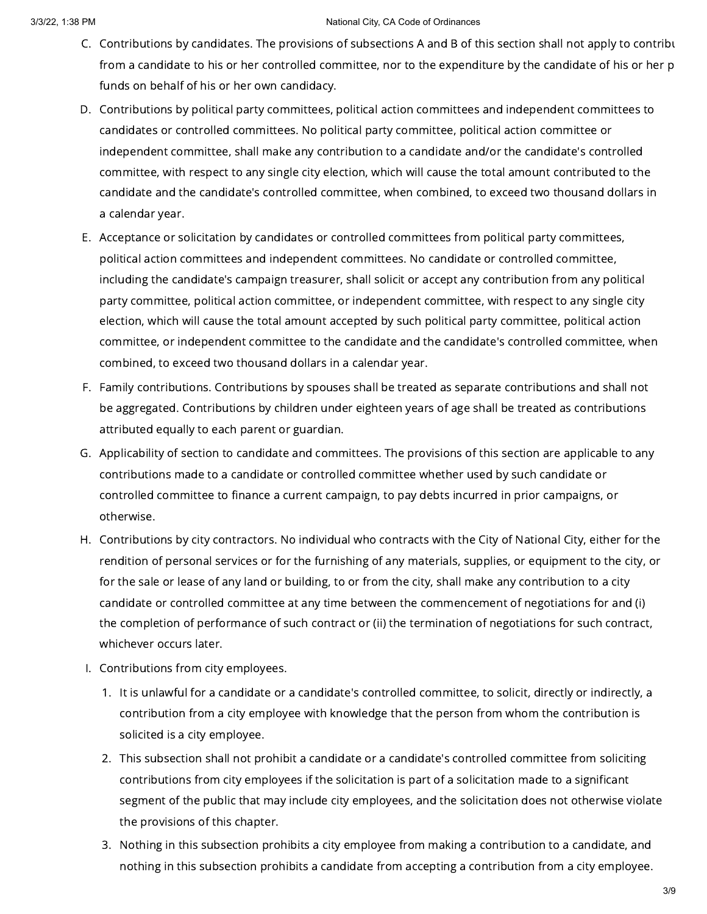- C. Contributions by candidates. The provisions of subsections A and B of this section shall not apply to contribu from a candidate to his or her controlled committee, nor to the expenditure by the candidate of his or her p funds on behalf of his or her own candidacy.
- D. Contributions by political party committees, political action committees and independent committees to candidates or controlled committees. No political party committee, political action committee or independent committee, shall make any contribution to a candidate and/or the candidate's controlled committee, with respect to any single city election, which will cause the total amount contributed to the candidate and the candidate's controlled committee, when combined, to exceed two thousand dollars in a calendar year.
- E. Acceptance or solicitation by candidates or controlled committees from political party committees, political action committees and independent committees. No candidate or controlled committee, including the candidate's campaign treasurer, shall solicit or accept any contribution from any political party committee, political action committee, or independent committee, with respect to any single city election, which will cause the total amount accepted by such political party committee, political action committee, or independent committee to the candidate and the candidate's controlled committee, when combined, to exceed two thousand dollars in a calendar year.
- F. Family contributions. Contributions by spouses shall be treated as separate contributions and shall not be aggregated. Contributions by children under eighteen years of age shall be treated as contributions attributed equally to each parent or guardian.
- G. Applicability of section to candidate and committees. The provisions of this section are applicable to any contributions made to a candidate or controlled committee whether used by such candidate or controlled committee to finance a current campaign, to pay debts incurred in prior campaigns, or otherwise.
- H. Contributions by city contractors. No individual who contracts with the City of National City, either for the rendition of personal services or for the furnishing of any materials, supplies, or equipment to the city, or for the sale or lease of any land or building, to or from the city, shall make any contribution to a city candidate or controlled committee at any time between the commencement of negotiations for and (i) the completion of performance of such contract or (ii) the termination of negotiations for such contract, whichever occurs later.
- I. Contributions from city employees.
	- 1. It is unlawful for a candidate or a candidate's controlled committee, to solicit, directly or indirectly, a contribution from a city employee with knowledge that the person from whom the contribution is solicited is a city employee.
	- 2. This subsection shall not prohibit a candidate or a candidate's controlled committee from soliciting contributions from city employees if the solicitation is part of a solicitation made to a significant segment of the public that may include city employees, and the solicitation does not otherwise violate the provisions of this chapter.
	- 3. Nothing in this subsection prohibits a city employee from making a contribution to a candidate, and nothing in this subsection prohibits a candidate from accepting a contribution from a city employee.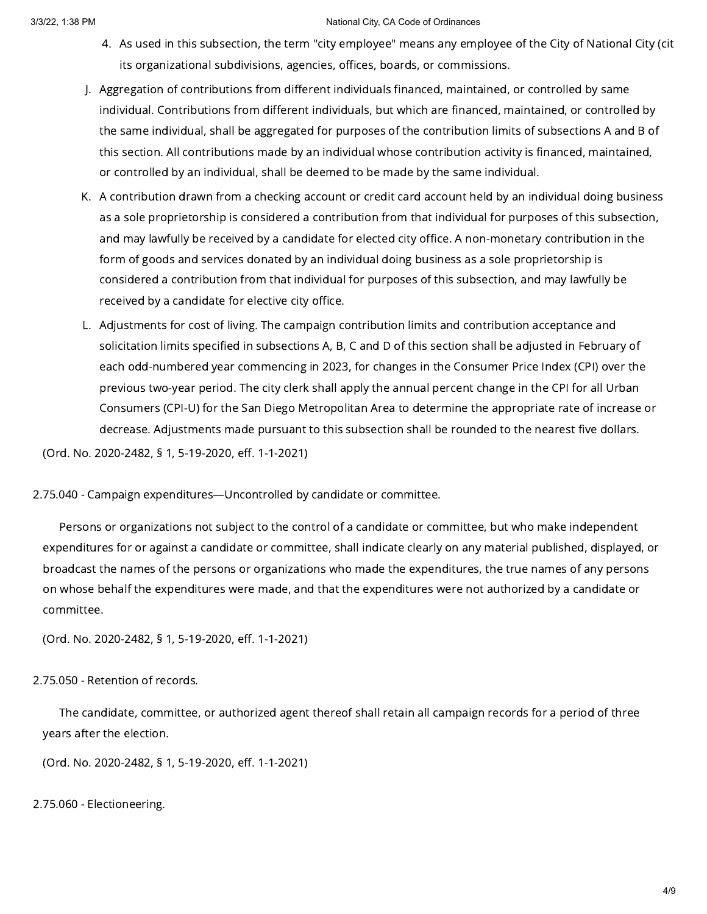- 4. As used in this subsection, the term "city employee" means any employee of the City of National City (cit its organizational subdivisions, agencies, offices, boards, or commissions.
- J. Aggregation of contributions from different individuals financed, maintained, or controlled by same individual. Contributions from different individuals, but which are financed, maintained, or controlled by the same individual, shall be aggregated for purposes of the contribution limits of subsections A and B of this section. All contributions made by an individual whose contribution activity is financed, maintained, or controlled by an individual, shall be deemed to be made by the same individual.
- K. A contribution drawn from a checking account or credit card account held by an individual doing business as a sole proprietorship is considered a contribution from that individual for purposes of this subsection, and may lawfully be received by a candidate for elected city office. A non-monetary contribution in the form of goods and services donated by an individual doing business as a sole proprietorship is considered a contribution from that individual for purposes of this subsection, and may lawfully be received by a candidate for elective city office.
- L. Adjustments for cost of living. The campaign contribution limits and contribution acceptance and solicitation limits specified in subsections A, B, C and D of this section shall be adjusted in February of each odd-numbered year commencing in 2023, for changes in the Consumer Price Index (CPI) over the previous two-year period. The city clerk shall apply the annual percent change in the CPI for all Urban Consumers (CPI-U) for the San Diego Metropolitan Area to determine the appropriate rate of increase or decrease. Adjustments made pursuant to this subsection shall be rounded to the nearest five dollars.

(Ord. No. 2020-2482, § 1, 5-19-2020, eff. 1-1-2021)

2.75.040 - Campaign expenditures—Uncontrolled by candidate or committee.

Persons or organizations not subject to the control of a candidate or committee, but who make independent expenditures for or against a candidate or committee, shall indicate clearly on any material published, displayed, or broadcast the names of the persons or organizations who made the expenditures, the true names of any persons on whose behalf the expenditures were made, and that the expenditures were not authorized by a candidate or committee.

(Ord. No. 2020-2482, § 1, 5-19-2020, eff. 1-1-2021)

# 2.75.050 - Retention of records.

The candidate, committee, or authorized agent thereof shall retain all campaign records for a period of three years after the election.

(Ord. No. 2020-2482, § 1, 5-19-2020, eff. 1-1-2021)

2.75.060 - Electioneering.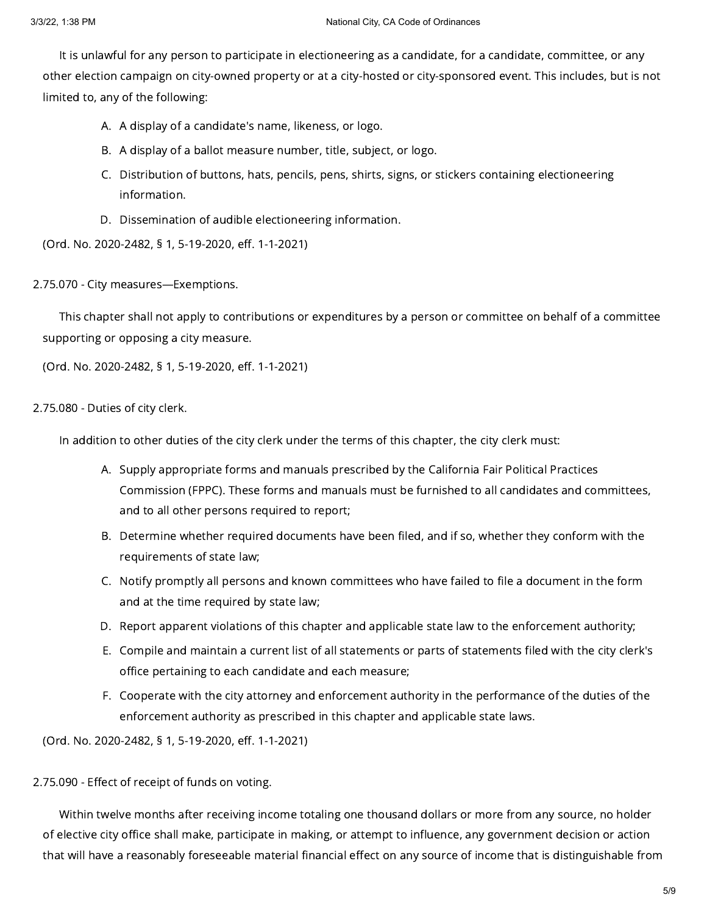It is unlawful for any person to participate in electioneering as a candidate, for a candidate, committee, or any other election campaign on city-owned property or at a city-hosted or city-sponsored event. This includes, but is not limited to, any of the following:

- A. A display of a candidate's name, likeness, or logo.
- B. A display of a ballot measure number, title, subject, or logo.
- C. Distribution of buttons, hats, pencils, pens, shirts, signs, or stickers containing electioneering information.
- D. Dissemination of audible electioneering information.

(Ord. No. 2020-2482, § 1, 5-19-2020, eff. 1-1-2021)

2.75.070 - City measures—Exemptions.

This chapter shall not apply to contributions or expenditures by a person or committee on behalf of a committee supporting or opposing a city measure.

(Ord. No. 2020-2482, § 1, 5-19-2020, eff. 1-1-2021)

# 2.75.080 - Duties of city clerk.

In addition to other duties of the city clerk under the terms of this chapter, the city clerk must:

- A. Supply appropriate forms and manuals prescribed by the California Fair Political Practices Commission (FPPC). These forms and manuals must be furnished to all candidates and committees, and to all other persons required to report;
- B. Determine whether required documents have been filed, and if so, whether they conform with the requirements of state law;
- C. Notify promptly all persons and known committees who have failed to file a document in the form and at the time required by state law;
- D. Report apparent violations of this chapter and applicable state law to the enforcement authority;
- E. Compile and maintain a current list of all statements or parts of statements filed with the city clerk's office pertaining to each candidate and each measure;
- F. Cooperate with the city attorney and enforcement authority in the performance of the duties of the enforcement authority as prescribed in this chapter and applicable state laws.

(Ord. No. 2020-2482, § 1, 5-19-2020, eff. 1-1-2021)

# 2.75.090 - Effect of receipt of funds on voting.

Within twelve months after receiving income totaling one thousand dollars or more from any source, no holder of elective city office shall make, participate in making, or attempt to influence, any government decision or action that will have a reasonably foreseeable material financial effect on any source of income that is distinguishable from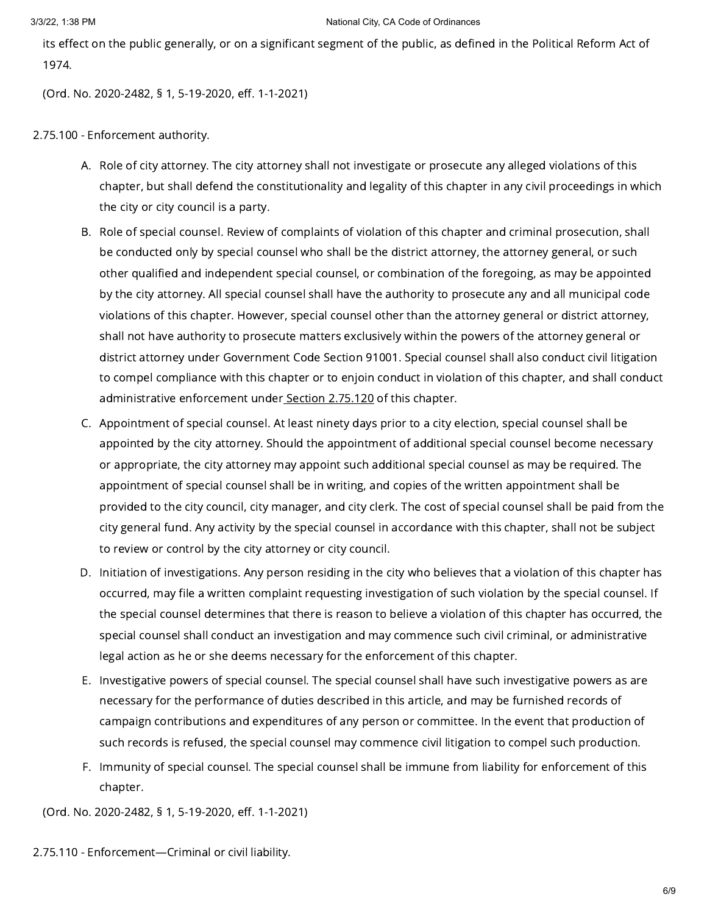its effect on the public generally, or on a significant segment of the public, as defined in the Political Reform Act of 1974.

(Ord. No. 2020-2482, § 1, 5-19-2020, eff. 1-1-2021)

2.75.100 - Enforcement authority.

- A. Role of city attorney. The city attorney shall not investigate or prosecute any alleged violations of this chapter, but shall defend the constitutionality and legality of this chapter in any civil proceedings in which the city or city council is a party.
- B. Role of special counsel. Review of complaints of violation of this chapter and criminal prosecution, shall be conducted only by special counsel who shall be the district attorney, the attorney general, or such other qualified and independent special counsel, or combination of the foregoing, as may be appointed by the city attorney. All special counsel shall have the authority to prosecute any and all municipal code violations of this chapter. However, special counsel other than the attorney general or district attorney, shall not have authority to prosecute matters exclusively within the powers of the attorney general or district attorney under Government Code Section 91001. Special counsel shall also conduct civil litigation to compel compliance with this chapter or to enjoin conduct in violation of this chapter, and shall conduct administrative enforcement under Section [2.75.120](https://library.municode.com/) of this chapter.
- C. Appointment of special counsel. At least ninety days prior to a city election, special counsel shall be appointed by the city attorney. Should the appointment of additional special counsel become necessary or appropriate, the city attorney may appoint such additional special counsel as may be required. The appointment of special counsel shall be in writing, and copies of the written appointment shall be provided to the city council, city manager, and city clerk. The cost of special counsel shall be paid from the city general fund. Any activity by the special counsel in accordance with this chapter, shall not be subject to review or control by the city attorney or city council.
- D. Initiation of investigations. Any person residing in the city who believes that a violation of this chapter has occurred, may file a written complaint requesting investigation of such violation by the special counsel. If the special counsel determines that there is reason to believe a violation of this chapter has occurred, the special counsel shall conduct an investigation and may commence such civil criminal, or administrative legal action as he or she deems necessary for the enforcement of this chapter.
- E. Investigative powers of special counsel. The special counsel shall have such investigative powers as are necessary for the performance of duties described in this article, and may be furnished records of campaign contributions and expenditures of any person or committee. In the event that production of such records is refused, the special counsel may commence civil litigation to compel such production.
- F. Immunity of special counsel. The special counsel shall be immune from liability for enforcement of this chapter.

(Ord. No. 2020-2482, § 1, 5-19-2020, eff. 1-1-2021)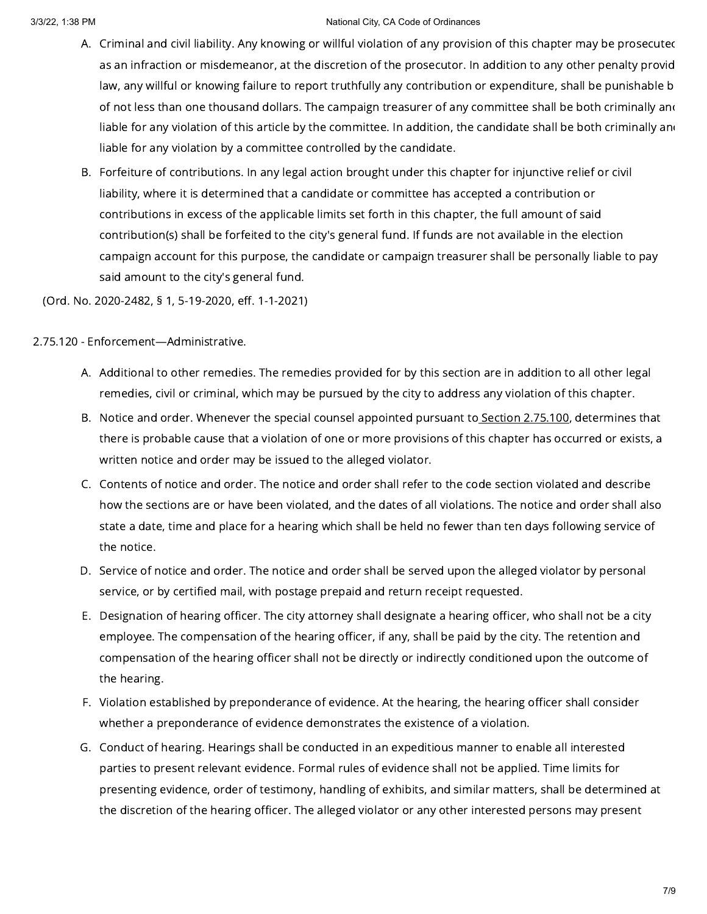- A. Criminal and civil liability. Any knowing or willful violation of any provision of this chapter may be prosecuted as an infraction or misdemeanor, at the discretion of the prosecutor. In addition to any other penalty provid law, any willful or knowing failure to report truthfully any contribution or expenditure, shall be punishable b of not less than one thousand dollars. The campaign treasurer of any committee shall be both criminally and liable for any violation of this article by the committee. In addition, the candidate shall be both criminally and liable for any violation by a committee controlled by the candidate.
- B. Forfeiture of contributions. In any legal action brought under this chapter for injunctive relief or civil liability, where it is determined that a candidate or committee has accepted a contribution or contributions in excess of the applicable limits set forth in this chapter, the full amount of said contribution(s) shall be forfeited to the city's general fund. If funds are not available in the election campaign account for this purpose, the candidate or campaign treasurer shall be personally liable to pay said amount to the city's general fund.

(Ord. No. 2020-2482, § 1, 5-19-2020, eff. 1-1-2021)

2.75.120 - Enforcement—Administrative.

- A. Additional to other remedies. The remedies provided for by this section are in addition to all other legal remedies, civil or criminal, which may be pursued by the city to address any violation of this chapter.
- B. Notice and order. Whenever the special counsel appointed pursuant to<u> Section [2.75.100](https://library.municode.com/)</u>, determines that there is probable cause that a violation of one or more provisions of this chapter has occurred or exists, a written notice and order may be issued to the alleged violator.
- C. Contents of notice and order. The notice and order shall refer to the code section violated and describe how the sections are or have been violated, and the dates of all violations. The notice and order shall also state a date, time and place for a hearing which shall be held no fewer than ten days following service of the notice.
- D. Service of notice and order. The notice and order shall be served upon the alleged violator by personal service, or by certified mail, with postage prepaid and return receipt requested.
- E. Designation of hearing officer. The city attorney shall designate a hearing officer, who shall not be a city employee. The compensation of the hearing officer, if any, shall be paid by the city. The retention and compensation of the hearing officer shall not be directly or indirectly conditioned upon the outcome of the hearing.
- F. Violation established by preponderance of evidence. At the hearing, the hearing officer shall consider whether a preponderance of evidence demonstrates the existence of a violation.
- G. Conduct of hearing. Hearings shall be conducted in an expeditious manner to enable all interested parties to present relevant evidence. Formal rules of evidence shall not be applied. Time limits for presenting evidence, order of testimony, handling of exhibits, and similar matters, shall be determined at the discretion of the hearing officer. The alleged violator or any other interested persons may present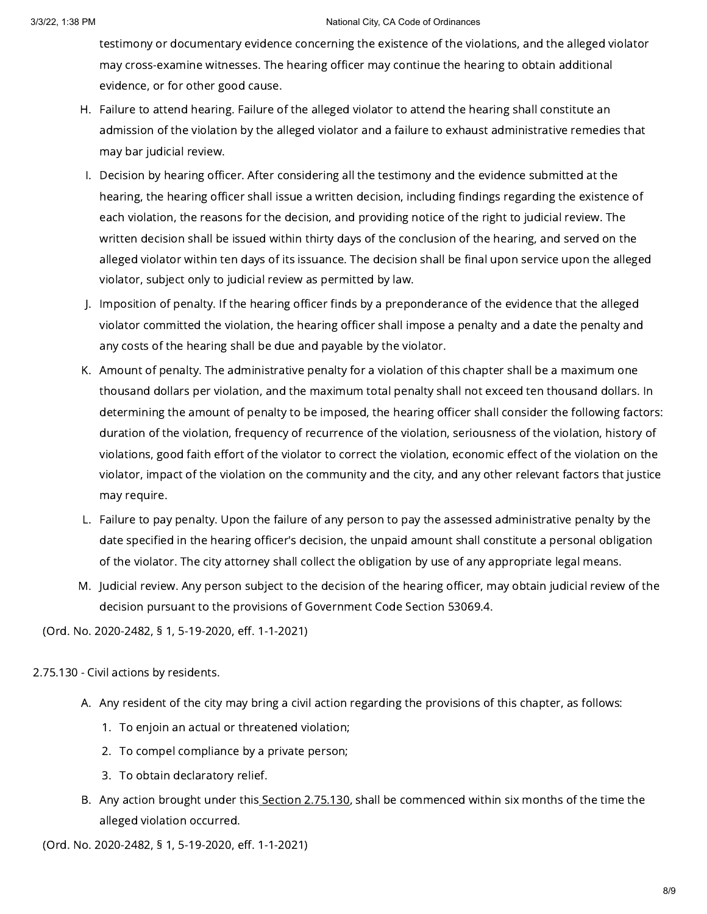### 3/3/22, 1:38 PM **National City, CA Code of Ordinances National City, CA Code of Ordinances**

testimony or documentary evidence concerning the existence of the violations, and the alleged violator may cross-examine witnesses. The hearing officer may continue the hearing to obtain additional evidence, or for other good cause.

- H. Failure to attend hearing. Failure of the alleged violator to attend the hearing shall constitute an admission of the violation by the alleged violator and a failure to exhaust administrative remedies that may bar judicial review.
- I. Decision by hearing officer. After considering all the testimony and the evidence submitted at the hearing, the hearing officer shall issue a written decision, including findings regarding the existence of each violation, the reasons for the decision, and providing notice of the right to judicial review. The written decision shall be issued within thirty days of the conclusion of the hearing, and served on the alleged violator within ten days of its issuance. The decision shall be final upon service upon the alleged violator, subject only to judicial review as permitted by law.
- J. Imposition of penalty. If the hearing officer finds by a preponderance of the evidence that the alleged violator committed the violation, the hearing officer shall impose a penalty and a date the penalty and any costs of the hearing shall be due and payable by the violator.
- K. Amount of penalty. The administrative penalty for a violation of this chapter shall be a maximum one thousand dollars per violation, and the maximum total penalty shall not exceed ten thousand dollars. In determining the amount of penalty to be imposed, the hearing officer shall consider the following factors: duration of the violation, frequency of recurrence of the violation, seriousness of the violation, history of violations, good faith effort of the violator to correct the violation, economic effect of the violation on the violator, impact of the violation on the community and the city, and any other relevant factors that justice may require.
- L. Failure to pay penalty. Upon the failure of any person to pay the assessed administrative penalty by the date specified in the hearing officer's decision, the unpaid amount shall constitute a personal obligation of the violator. The city attorney shall collect the obligation by use of any appropriate legal means.
- M. Judicial review. Any person subject to the decision of the hearing officer, may obtain judicial review of the decision pursuant to the provisions of Government Code Section 53069.4.

(Ord. No. 2020-2482, § 1, 5-19-2020, eff. 1-1-2021)

2.75.130 - Civil actions by residents.

- A. Any resident of the city may bring a civil action regarding the provisions of this chapter, as follows:
	- 1. To enjoin an actual or threatened violation;
	- 2. To compel compliance by a private person;
	- 3. To obtain declaratory relief.
- B. Any action brought under this<u> Section [2.75.130](https://library.municode.com/)</u>, shall be commenced within six months of the time the alleged violation occurred.

(Ord. No. 2020-2482, § 1, 5-19-2020, eff. 1-1-2021)